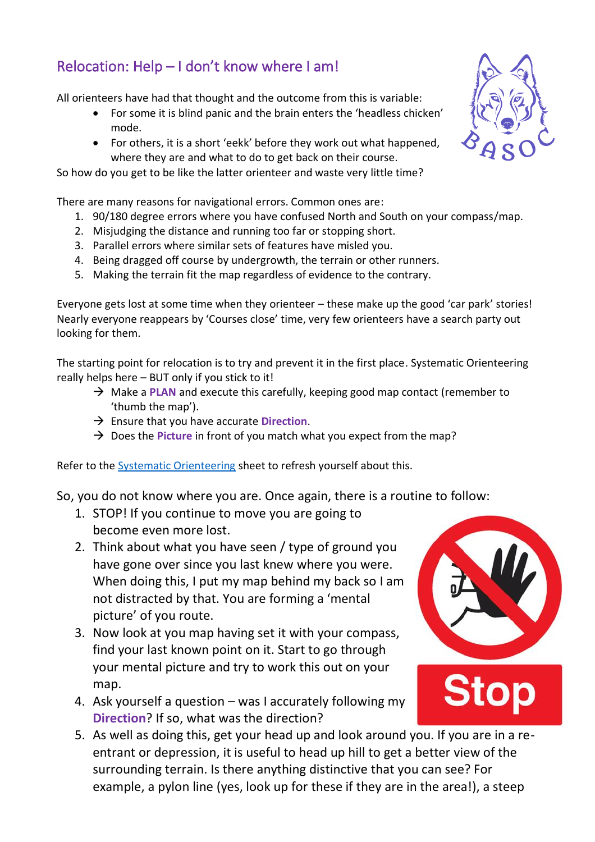## Relocation: Help – I don't know where I am!

All orienteers have had that thought and the outcome from this is variable:

- For some it is blind panic and the brain enters the 'headless chicken' mode.
- For others, it is a short 'eekk' before they work out what happened, where they are and what to do to get back on their course.

So how do you get to be like the latter orienteer and waste very little time?

There are many reasons for navigational errors. Common ones are:

- 1. 90/180 degree errors where you have confused North and South on your compass/map.
- 2. Misjudging the distance and running too far or stopping short.
- 3. Parallel errors where similar sets of features have misled you.
- 4. Being dragged off course by undergrowth, the terrain or other runners.
- 5. Making the terrain fit the map regardless of evidence to the contrary.

Everyone gets lost at some time when they orienteer – these make up the good 'car park' stories! Nearly everyone reappears by 'Courses close' time, very few orienteers have a search party out looking for them.

The starting point for relocation is to try and prevent it in the first place. Systematic Orienteering really helps here – BUT only if you stick to it!

- → Make a **PLAN** and execute this carefully, keeping good map contact (remember to 'thumb the map').
- → Ensure that you have accurate **Direction**.
- → Does the Picture in front of you match what you expect from the map?

Refer to the [Systematic Orienteering](https://www.basoc.org.uk/info/2021-spring-training-sessions) sheet to refresh yourself about this.

So, you do not know where you are. Once again, there is a routine to follow:

- 1. STOP! If you continue to move you are going to become even more lost.
- 2. Think about what you have seen / type of ground you have gone over since you last knew where you were. When doing this, I put my map behind my back so I am not distracted by that. You are forming a 'mental picture' of you route.
- 3. Now look at you map having set it with your compass, find your last known point on it. Start to go through your mental picture and try to work this out on your map.
- 4. Ask yourself a question was I accurately following my **Direction**? If so, what was the direction?
- 5. As well as doing this, get your head up and look around you. If you are in a reentrant or depression, it is useful to head up hill to get a better view of the surrounding terrain. Is there anything distinctive that you can see? For example, a pylon line (yes, look up for these if they are in the area!), a steep